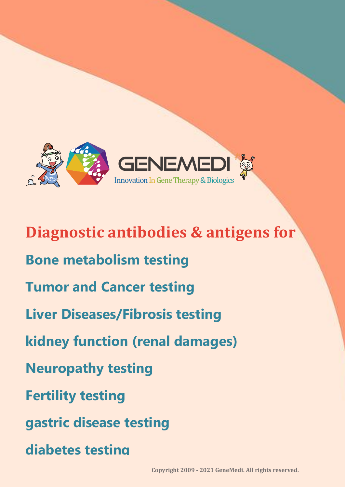

**Diagnostic antibodies & antigens for Bone metabolism testing Tumor and Cancer testing Liver Diseases/Fibrosis testing kidney function (renal damages) Neuropathy testing Fertility testing gastric disease testing diabetes testing**

Contact Email: support@genemedi.net | sales@genemedi.net **Copyright 2009 - 2021 GeneMedi. All rights reserved.**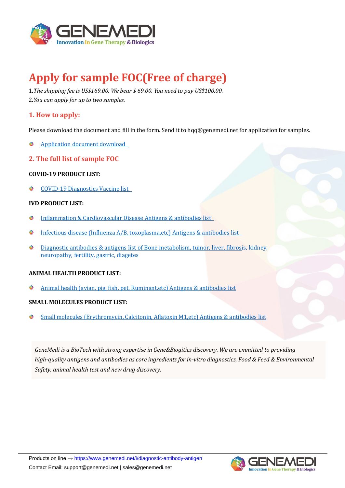

# **Apply for sample FOC(Free of charge)**

1.*The shipping fee is US\$169.00. We bear \$ 69.00. You need to pay US\$100.00.* 2.*You can apply for up to two samples.*

# **1. How to apply:**

Please download the document and fill in the form. Send it to hqq@genemedi.net for application for samples.

- [Application document download](https://www.genemedi.net/pdf/sample_FOC_application_document.pdf)   $\bullet$
- **2. The full list of sample FOC**

#### **COVID-19 PRODUCT LIST:**

[COVID-19 Diagnostics Vaccine list](https://www.genemedi.net/pdf/COVID_Diagnostics_Vaccine_list.pdf)   $\bullet$ 

#### **IVD PRODUCT LIST:**

- [Inflammation & Cardiovascular Disease Antigens & antibodies list](https://www.genemedi.net/pdf/IVD_antigens_antibodies_list-GeneMedi.pdf)   $\bullet$
- [Infectious disease \(Influenza A/B, toxoplasma,etc\) Antigens & antibodies list](https://www.genemedi.net/pdf/Infectious_Disease_Diagnostic_antigens_antibodies_list-GeneMedi.pdf)  $\bullet$
- [Diagnostic antibodies & antigens list of Bone metabolism, tumor, liver, fibrosis, kidney,](https://www.genemedi.net/pdf/bone_metabolism_tumor_liver_fibrosis_kidney_neuropathy_fertility_gastric_diagetes_Diagnostic_antibodies_antigens-GeneMedi.pdf)  neuropathy, fertility, gastric, diagetes

#### **ANIMAL HEALTH PRODUCT LIST:**

 $\bullet$ [Animal health \(avian, pig, fish, pet, Ruminant,etc\) Antigens & antibodies list](https://www.genemedi.net/pdf/Animal_Health_Diagnostic_antigens_antibodies_list-GeneMedi.pdf)

#### **SMALL MOLECULES PRODUCT LIST:**

[Small molecules \(Erythromycin, Calcitonin, Aflatoxin M1,etc\) Antigens & antibodies list](https://www.genemedi.net/pdf/Small_molecules_Diagnostic_antigens_antibodies_list-GeneMedi.pdf)  $\bullet$ 

*GeneMedi is a BioTech with strong expertise in Gene&Biogitics discovery. We are cmmitted to providing high-quality antigens and antibodies as core ingredients for in-vitro diagnostics, Food & Feed & Environmental Safety, animal health test and new drug discovery.* 

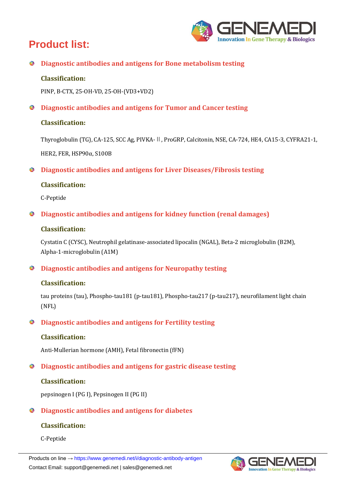# **Product list:**



**Diagnostic antibodies and antigens for Bone metabolism testing**

# **Classification:**

PINP, Β-CTX, 25-OH-VD, 25-OH-(VD3+VD2)

**Diagnostic antibodies and antigens for Tumor and Cancer testing**

# **Classification:**

Thyroglobulin (TG), CA-125, SCC Ag, PIVKA-Ⅱ, ProGRP, Calcitonin, NSE, CA-724, HE4, CA15-3, CYFRA21-1, HER2, FER, HSP90α, S100B

**Diagnostic antibodies and antigens for Liver Diseases/Fibrosis testing**

# **Classification:**

C-Peptide

**Diagnostic antibodies and antigens for kidney function (renal damages)** 

# **Classification:**

Cystatin C (CYSC), Neutrophil gelatinase-associated lipocalin (NGAL), Beta-2 microglobulin (B2M), Alpha-1-microglobulin (A1M)

**Diagnostic antibodies and antigens for Neuropathy testing**

### **Classification:**

tau proteins (tau), Phospho-tau181 (p-tau181), Phospho-tau217 (p-tau217), neurofilament light chain (NFL)

**Diagnostic antibodies and antigens for Fertility testing**

### **Classification:**

Anti-Mullerian hormone (AMH), Fetal fibronectin (fFN)

**Diagnostic antibodies and antigens for gastric disease testing**

### **Classification:**

pepsinogen I (PG I), Pepsinogen II (PG II)

# **Diagnostic antibodies and antigens for diabetes**

# **Classification:**

C-Peptide

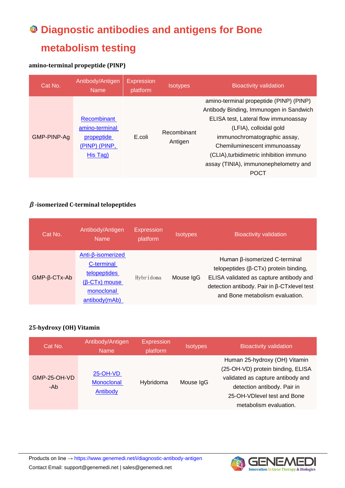# **Diagnostic antibodies and antigens for Bone metabolism testing**

# **amino-terminal propeptide (PINP)**

| Cat No.     | Antibody/Antigen<br><b>Name</b>                                          | <b>Expression</b><br>platform | <b>Isotypes</b>        | <b>Bioactivity validation</b>                                                                                                                                                                                                                                                                                           |
|-------------|--------------------------------------------------------------------------|-------------------------------|------------------------|-------------------------------------------------------------------------------------------------------------------------------------------------------------------------------------------------------------------------------------------------------------------------------------------------------------------------|
| GMP-PINP-Ag | Recombinant<br>amino-terminal<br>propeptide<br>(PINP) (PINP,<br>His Tag) | E.coli                        | Recombinant<br>Antigen | amino-terminal propeptide (PINP) (PINP)<br>Antibody Binding, Immunogen in Sandwich<br>ELISA test, Lateral flow immunoassay<br>(LFIA), colloidal gold<br>immunochromatographic assay,<br>Chemiluminescent immunoassay<br>(CLIA), turbidimetric inhibition immuno<br>assay (TINIA), immunonephelometry and<br><b>POCT</b> |

# **β-isomerized C-terminal telopeptides**

| Cat No.                  | Antibody/Antigen<br><b>Name</b>                                                                                            | <b>Expression</b><br>platform | <b>Isotypes</b> | <b>Bioactivity validation</b>                                                                                                                                                                              |
|--------------------------|----------------------------------------------------------------------------------------------------------------------------|-------------------------------|-----------------|------------------------------------------------------------------------------------------------------------------------------------------------------------------------------------------------------------|
| $GMP - \beta - CTx - Ab$ | $Anti-\beta$ -isomerized<br>C-terminal<br>telopeptides<br>$(\beta$ -CT <sub>x</sub> ) mouse<br>monoclonal<br>antibody(mAb) | Hybridoma                     | Mouse IgG       | Human β-isomerized C-terminal<br>telopeptides $(\beta$ -CTx) protein binding,<br>ELISA validated as capture antibody and<br>detection antibody. Pair in β-CTxlevel test<br>and Bone metabolism evaluation. |

### **25-hydroxy (OH) Vitamin**

| Cat No.             | Antibody/Antigen<br><b>Name</b>    | <b>Expression</b><br>platform | <b>Isotypes</b> | <b>Bioactivity validation</b>                                                                                                                                                                   |
|---------------------|------------------------------------|-------------------------------|-----------------|-------------------------------------------------------------------------------------------------------------------------------------------------------------------------------------------------|
| GMP-25-OH-VD<br>-Ab | 25-OH-VD<br>Monoclonal<br>Antibody | Hybridoma                     | Mouse IgG       | Human 25-hydroxy (OH) Vitamin<br>(25-OH-VD) protein binding, ELISA<br>validated as capture antibody and<br>detection antibody. Pair in<br>25-OH-VDlevel test and Bone<br>metabolism evaluation. |



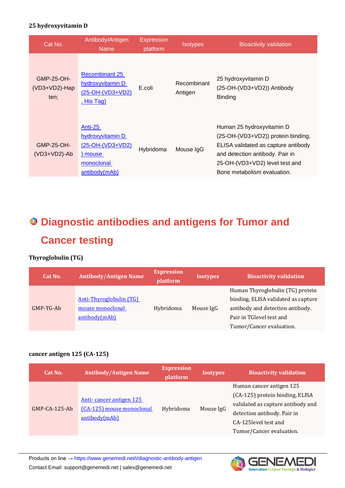#### **25 hydroxyvitamin D**

| Cat No.                                    | Antibody/Antigen<br><b>Name</b>                                                                         | <b>Expression</b><br>platform | <b>Isotypes</b>        | <b>Bioactivity validation</b>                                                                                                                                                                              |
|--------------------------------------------|---------------------------------------------------------------------------------------------------------|-------------------------------|------------------------|------------------------------------------------------------------------------------------------------------------------------------------------------------------------------------------------------------|
| <b>GMP-25-OH-</b><br>(VD3+VD2)-Hap<br>ten: | <b>Recombinant 25</b><br>hydroxyvitamin D<br>(25-OH-(VD3+VD2)<br><u>, His Tag)</u>                      | E.coli                        | Recombinant<br>Antigen | 25 hydroxyvitamin D<br>(25-OH-(VD3+VD2)) Antibody<br><b>Binding</b>                                                                                                                                        |
| GMP-25-OH-<br>$(VD3+VD2)$ -Ab              | <u>Anti-25</u><br>hydroxyvitamin D<br><u>(25-OH-(VD3+VD2)</u><br>) mouse<br>monoclonal<br>antibody(mAb) | Hybridoma                     | Mouse IgG              | Human 25 hydroxyvitamin D<br>(25-OH-(VD3+VD2)) protein binding,<br>ELISA validated as capture antibody<br>and detection antibody. Pair in<br>25-OH-(VD3+VD2) level test and<br>Bone metabolism evaluation. |

# **Diagnostic antibodies and antigens for Tumor and Cancer testing**

# **Thyroglobulin (TG)**

| Cat No.     | <b>Antibody/Antigen Name</b>                                 | <b>Expression</b><br>platform | <b>Isotypes</b> | <b>Bioactivity validation</b>                                                                                                                                       |
|-------------|--------------------------------------------------------------|-------------------------------|-----------------|---------------------------------------------------------------------------------------------------------------------------------------------------------------------|
| $GMP-TC-Ab$ | Anti-Thyroglobulin (TG)<br>mouse monoclonal<br>antibody(mAb) | Hybridoma                     | Mouse IgG       | Human Thyroglobulin (TG) protein<br>binding, ELISA validated as capture<br>antibody and detection antibody.<br>Pair in TGlevel test and<br>Tumor/Cancer evaluation. |

#### **cancer antigen 125 (CA-125)**

| Cat No.               | <b>Antibody/Antigen Name</b>                                          | <b>Expression</b><br>platform | <b>Isotypes</b> | <b>Bioactivity validation</b>                                                                                                                                                        |
|-----------------------|-----------------------------------------------------------------------|-------------------------------|-----------------|--------------------------------------------------------------------------------------------------------------------------------------------------------------------------------------|
| $GMP - CA - 125 - Ab$ | Anti-cancer antigen 125<br>(CA-125) mouse monoclonal<br>antibody(mAb) | Hybridoma                     | Mouse IgG       | Human cancer antigen 125<br>(CA-125) protein binding, ELISA<br>validated as capture antibody and<br>detection antibody. Pair in<br>CA-125 level test and<br>Tumor/Cancer evaluation. |

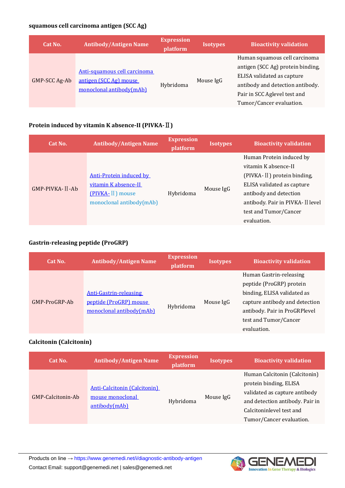# **squamous cell carcinoma antigen (SCC Ag)**

| Cat No.       | <b>Antibody/Antigen Name</b>                                                       | <b>Expression</b><br>platform | <b>Isotypes</b> | <b>Bioactivity validation</b>                                                                                                                                                                    |
|---------------|------------------------------------------------------------------------------------|-------------------------------|-----------------|--------------------------------------------------------------------------------------------------------------------------------------------------------------------------------------------------|
| GMP-SCC Ag-Ab | Anti-squamous cell carcinoma<br>antigen (SCC Ag) mouse<br>monoclonal antibody(mAb) | Hybridoma                     | Mouse IgG       | Human squamous cell carcinoma<br>antigen (SCC Ag) protein binding,<br>ELISA validated as capture<br>antibody and detection antibody.<br>Pair in SCC Aglevel test and<br>Tumor/Cancer evaluation. |

# **Protein induced by vitamin K absence-II (PIVKA-**Ⅱ**)**

| Cat No.         | <b>Antibody/Antigen Name</b>                                                                    | <b>Expression</b><br>platform | <b>Isotypes</b> | <b>Bioactivity validation</b>                                                                                                                                                                                        |
|-----------------|-------------------------------------------------------------------------------------------------|-------------------------------|-----------------|----------------------------------------------------------------------------------------------------------------------------------------------------------------------------------------------------------------------|
| GMP-PIVKA-II-Ab | Anti-Protein induced by<br>vitamin K absence-II<br>(PIVKA-II) mouse<br>monoclonal antibody(mAb) | Hybridoma                     | Mouse IgG       | Human Protein induced by<br>vitamin K absence-II<br>(PIVKA-II) protein binding,<br>ELISA validated as capture<br>antibody and detection<br>antibody. Pair in PIVKA- II level<br>test and Tumor/Cancer<br>evaluation. |

#### **Gastrin-releasing peptide (ProGRP)**

| Cat No.       | <b>Antibody/Antigen Name</b>                                                        | <b>Expression</b><br>platform | <b>Isotypes</b> | <b>Bioactivity validation</b>                                                                                                                                                                 |
|---------------|-------------------------------------------------------------------------------------|-------------------------------|-----------------|-----------------------------------------------------------------------------------------------------------------------------------------------------------------------------------------------|
| GMP-ProGRP-Ab | <b>Anti-Gastrin-releasing</b><br>peptide (ProGRP) mouse<br>monoclonal antibody(mAb) | Hybridoma                     | Mouse IgG       | Human Gastrin-releasing<br>peptide (ProGRP) protein<br>binding, ELISA validated as<br>capture antibody and detection<br>antibody. Pair in ProGRPlevel<br>test and Tumor/Cancer<br>evaluation. |

# **Calcitonin (Calcitonin)**

| Cat No.           | <b>Antibody/Antigen Name</b>                                             | <b>Expression</b><br>platform | <b>Isotypes</b> | <b>Bioactivity validation</b>                                                                                                                                                       |
|-------------------|--------------------------------------------------------------------------|-------------------------------|-----------------|-------------------------------------------------------------------------------------------------------------------------------------------------------------------------------------|
| GMP-Calcitonin-Ab | <b>Anti-Calcitonin (Calcitonin)</b><br>mouse monoclonal<br>antibody(mAb) | Hybridoma                     | Mouse IgG       | Human Calcitonin (Calcitonin)<br>protein binding, ELISA<br>validated as capture antibody<br>and detection antibody. Pair in<br>Calcitoninlevel test and<br>Tumor/Cancer evaluation. |

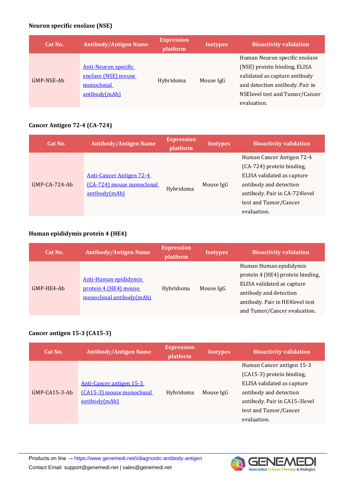# **Neuron specific enolase (NSE)**

| Cat No.    | <b>Antibody/Antigen Name</b>                                                      | <b>Expression</b><br>platform | <b>Isotypes</b> | <b>Bioactivity validation</b>                                                                                                                                                      |
|------------|-----------------------------------------------------------------------------------|-------------------------------|-----------------|------------------------------------------------------------------------------------------------------------------------------------------------------------------------------------|
| GMP-NSE-Ab | <b>Anti-Neuron specific</b><br>enolase (NSE) mouse<br>monoclonal<br>antibody(mAb) | Hybridoma                     | Mouse IgG       | Human Neuron specific enolase<br>(NSE) protein binding, ELISA<br>validated as capture antibody<br>and detection antibody. Pair in<br>NSElevel test and Tumor/Cancer<br>evaluation. |

#### **Cancer Antigen 72-4 (CA-724)**

| Cat No.         | <b>Antibody/Antigen Name</b>                                                  | <b>Expression</b><br>platform | <b>Isotypes</b> | <b>Bioactivity validation</b>                                                                                                                                                            |
|-----------------|-------------------------------------------------------------------------------|-------------------------------|-----------------|------------------------------------------------------------------------------------------------------------------------------------------------------------------------------------------|
| $GMP-CA-724-Ab$ | <b>Anti-Cancer Antigen 72-4</b><br>(CA-724) mouse monoclonal<br>antibody(mAb) | Hybridoma                     | Mouse IgG       | Human Cancer Antigen 72-4<br>(CA-724) protein binding,<br>ELISA validated as capture<br>antibody and detection<br>antibody. Pair in CA-724 level<br>test and Tumor/Cancer<br>evaluation. |

# **Human epididymis protein 4 (HE4)**

| Cat No.      | <b>Antibody/Antigen Name</b>                                               | <b>Expression</b><br>platform | <b>Isotypes</b> | <b>Bioactivity validation</b>                                                                                                                                                         |
|--------------|----------------------------------------------------------------------------|-------------------------------|-----------------|---------------------------------------------------------------------------------------------------------------------------------------------------------------------------------------|
| $GMP-HE4-Ab$ | Anti-Human epididymis<br>protein 4 (HE4) mouse<br>monoclonal antibody(mAb) | Hybridoma                     | Mouse IgG       | Human Human epididymis<br>protein 4 (HE4) protein binding,<br>ELISA validated as capture<br>antibody and detection<br>antibody. Pair in HE4level test<br>and Tumor/Cancer evaluation. |

# **Cancer antigen 15-3 (CA15-3)**

| Cat No.               | <b>Antibody/Antigen Name</b>                                           | <b>Expression</b><br>platform | <b>Isotypes</b> | <b>Bioactivity validation</b>                                                                                                                                                           |
|-----------------------|------------------------------------------------------------------------|-------------------------------|-----------------|-----------------------------------------------------------------------------------------------------------------------------------------------------------------------------------------|
| $GMP - CA15 - 3 - Ab$ | Anti-Cancer antigen 15-3<br>(CA15-3) mouse monoclonal<br>antibody(mAb) | Hybridoma                     | Mouse IgG       | Human Cancer antigen 15-3<br>(CA15-3) protein binding,<br>ELISA validated as capture<br>antibody and detection<br>antibody. Pair in CA15-3level<br>test and Tumor/Cancer<br>evaluation. |

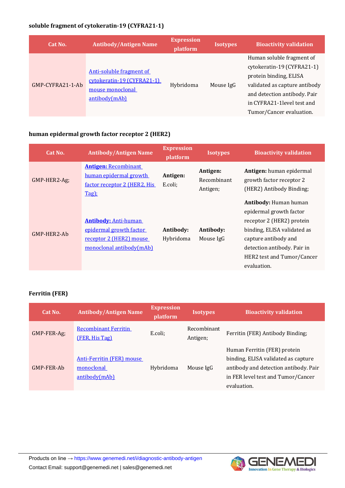# **soluble fragment of cytokeratin-19 (CYFRA21-1)**

| Cat No.          | <b>Antibody/Antigen Name</b>                                                                | <b>Expression</b><br>platform | <b>Isotypes</b> | <b>Bioactivity validation</b>                                                                                                                                                                                 |
|------------------|---------------------------------------------------------------------------------------------|-------------------------------|-----------------|---------------------------------------------------------------------------------------------------------------------------------------------------------------------------------------------------------------|
| GMP-CYFRA21-1-Ab | Anti-soluble fragment of<br>cytokeratin-19 (CYFRA21-1)<br>mouse monoclonal<br>antibody(mAb) | Hybridoma                     | Mouse IgG       | Human soluble fragment of<br>cytokeratin-19 (CYFRA21-1)<br>protein binding, ELISA<br>validated as capture antibody<br>and detection antibody. Pair<br>in CYFRA21-1 level test and<br>Tumor/Cancer evaluation. |

# **human epidermal growth factor receptor 2 (HER2)**

| Cat No.      | <b>Antibody/Antigen Name</b>                                                                                  | <b>Expression</b><br>platform | <b>Isotypes</b>                     | <b>Bioactivity validation</b>                                                                                                                                                                                           |
|--------------|---------------------------------------------------------------------------------------------------------------|-------------------------------|-------------------------------------|-------------------------------------------------------------------------------------------------------------------------------------------------------------------------------------------------------------------------|
| GMP-HER2-Ag; | <b>Antigen: Recombinant</b><br>human epidermal growth<br>factor receptor 2 (HER2, His<br>$Tag)$ :             | Antigen:<br>E.coli;           | Antigen:<br>Recombinant<br>Antigen; | Antigen: human epidermal<br>growth factor receptor 2<br>(HER2) Antibody Binding;                                                                                                                                        |
| GMP-HER2-Ab  | <b>Antibody: Anti-human</b><br>epidermal growth factor<br>receptor 2 (HER2) mouse<br>monoclonal antibody(mAb) | Antibody:<br>Hybridoma        | Antibody:<br>Mouse IgG              | <b>Antibody: Human human</b><br>epidermal growth factor<br>receptor 2 (HER2) protein<br>binding, ELISA validated as<br>capture antibody and<br>detection antibody. Pair in<br>HER2 test and Tumor/Cancer<br>evaluation. |

# **Ferritin (FER)**

| Cat No.     | <b>Antibody/Antigen Name</b>                                    | <b>Expression</b><br>platform | <b>Isotypes</b>         | <b>Bioactivity validation</b>                                                                                                                                     |
|-------------|-----------------------------------------------------------------|-------------------------------|-------------------------|-------------------------------------------------------------------------------------------------------------------------------------------------------------------|
| GMP-FER-Ag; | <b>Recombinant Ferritin</b><br>(FER, His Tag)                   | E.coli;                       | Recombinant<br>Antigen; | Ferritin (FER) Antibody Binding;                                                                                                                                  |
| GMP-FER-Ab  | <b>Anti-Ferritin (FER) mouse</b><br>monoclonal<br>antibody(mAb) | Hybridoma                     | Mouse IgG               | Human Ferritin (FER) protein<br>binding, ELISA validated as capture<br>antibody and detection antibody. Pair<br>in FER level test and Tumor/Cancer<br>evaluation. |

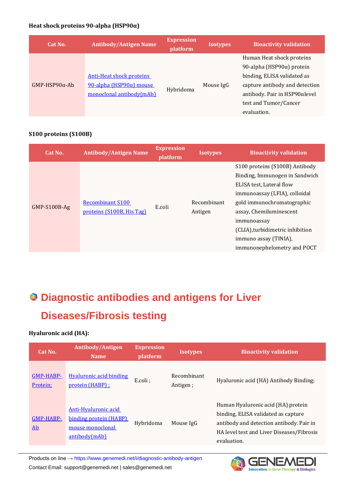#### **Heat shock proteins 90-alpha (HSP90α)**

| Cat No.              | <b>Antibody/Antigen Name</b>                                                           | <b>Expression</b><br>platform | <b>Isotypes</b> | <b>Bioactivity validation</b>                                                                                                                            |
|----------------------|----------------------------------------------------------------------------------------|-------------------------------|-----------------|----------------------------------------------------------------------------------------------------------------------------------------------------------|
| $GMP-HSP90\alpha-Ab$ | <b>Anti-Heat shock proteins</b><br>90-alpha (HSP90α) mouse<br>monoclonal antibody(mAb) | Hybridoma                     | Mouse IgG       | Human Heat shock proteins<br>90-alpha (HSP90α) protein<br>binding, ELISA validated as<br>capture antibody and detection<br>antibody. Pair in HSP90αlevel |
|                      |                                                                                        |                               |                 | test and Tumor/Cancer<br>evaluation.                                                                                                                     |

#### **S100 proteins (S100B)**

| Cat No.      | <b>Antibody/Antigen Name</b>                         | <b>Expression</b><br>platform | <b>Isotypes</b>        | <b>Bioactivity validation</b>                                                                                                                                                                                                                                                                     |
|--------------|------------------------------------------------------|-------------------------------|------------------------|---------------------------------------------------------------------------------------------------------------------------------------------------------------------------------------------------------------------------------------------------------------------------------------------------|
| GMP-S100B-Ag | <b>Recombinant S100</b><br>proteins (S100B, His Tag) | E.coli                        | Recombinant<br>Antigen | S100 proteins (S100B) Antibody<br>Binding, Immunogen in Sandwich<br>ELISA test, Lateral flow<br>immunoassay (LFIA), colloidal<br>gold immunochromatographic<br>assay, Chemiluminescent<br>immunoassay<br>(CLIA), turbidimetric inhibition<br>immuno assay (TINIA),<br>immunonephelometry and POCT |

# **Diagnostic antibodies and antigens for Liver Diseases/Fibrosis testing**

# **Hyaluronic acid (HA):**

| Cat No.               | Antibody/Antigen<br><b>Name</b>                                                     | <b>Expression</b><br>platform | <b>Isotypes</b>         | <b>Bioactivity validation</b>                                                                                                                                                     |
|-----------------------|-------------------------------------------------------------------------------------|-------------------------------|-------------------------|-----------------------------------------------------------------------------------------------------------------------------------------------------------------------------------|
| GMP-HABP-<br>Protein; | <b>Hyaluronic acid binding</b><br>protein (HABP) :                                  | E.coli;                       | Recombinant<br>Antigen; | Hyaluronic acid (HA) Antibody Binding;                                                                                                                                            |
| GMP-HABP-<br>Ab       | Anti-Hyaluronic acid<br>binding protein (HABP)<br>mouse monoclonal<br>antibody(mAb) | Hybridoma                     | Mouse IgG               | Human Hyaluronic acid (HA) protein<br>binding, ELISA validated as capture<br>antibody and detection antibody. Pair in<br>HA level test and Liver Diseases/Fibrosis<br>evaluation. |

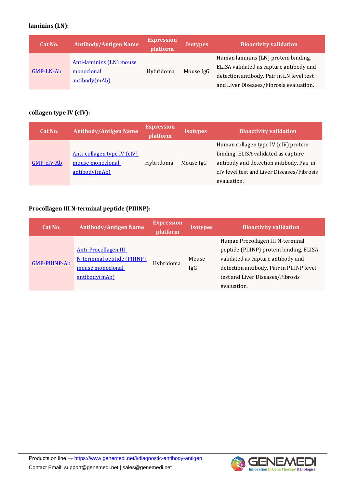# **laminins (LN):**

| Cat No.          | <b>Antibody/Antigen Name</b>                            | <b>Expression</b><br>platform | <b>Isotypes</b> | <b>Bioactivity validation</b>                                                                                                                                           |
|------------------|---------------------------------------------------------|-------------------------------|-----------------|-------------------------------------------------------------------------------------------------------------------------------------------------------------------------|
| <b>GMP-LN-Ab</b> | Anti-laminins (LN) mouse<br>monoclonal<br>antibody(mAb) | Hybridoma                     | Mouse IgG       | Human laminins (LN) protein binding,<br>ELISA validated as capture antibody and<br>detection antibody. Pair in LN level test<br>and Liver Diseases/Fibrosis evaluation. |

# **collagen type IV (cIV):**

| Cat No.      | <b>Antibody/Antigen Name</b> | <b>Expression</b><br>platform | <b>Isotypes</b> | <b>Bioactivity validation</b>              |
|--------------|------------------------------|-------------------------------|-----------------|--------------------------------------------|
|              |                              |                               |                 | Human collagen type IV (cIV) protein       |
|              | Anti-collagen type IV (cIV)  |                               |                 | binding, ELISA validated as capture        |
| $GMP-cIV-Ab$ | mouse monoclonal             | Hybridoma                     | Mouse IgG       | antibody and detection antibody. Pair in   |
|              | antibody(mAb)                |                               |                 | cIV level test and Liver Diseases/Fibrosis |
|              |                              |                               |                 | evaluation.                                |

# **Procollagen III N-terminal peptide (PIIINP):**

| Cat No.              | <b>Antibody/Antigen Name</b>       | <b>Expression</b><br>platform | <b>Isotypes</b> | <b>Bioactivity validation</b>            |
|----------------------|------------------------------------|-------------------------------|-----------------|------------------------------------------|
|                      |                                    |                               |                 | Human Procollagen III N-terminal         |
| <b>GMP-PIIINP-Ab</b> | <b>Anti-Procollagen III</b>        | Hybridoma                     |                 | peptide (PIIINP) protein binding, ELISA  |
|                      | <b>N-terminal peptide (PIIINP)</b> |                               | Mouse           | validated as capture antibody and        |
|                      | mouse monoclonal                   |                               | IgG             | detection antibody. Pair in PIIINP level |
|                      | antibody(mAb)                      |                               |                 | test and Liver Diseases/Fibrosis         |
|                      |                                    |                               |                 | evaluation.                              |

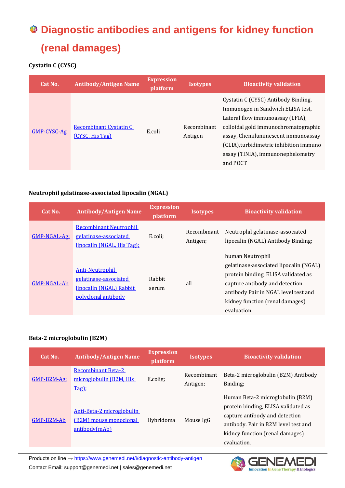# **Diagnostic antibodies and antigens for kidney function (renal damages)**

# **Cystatin C (CYSC)**

| Cat No.     | <b>Antibody/Antigen Name</b>                     | <b>Expression</b><br>platform | <b>Isotypes</b>        | <b>Bioactivity validation</b>                                                                                                                                                                                                                                                           |
|-------------|--------------------------------------------------|-------------------------------|------------------------|-----------------------------------------------------------------------------------------------------------------------------------------------------------------------------------------------------------------------------------------------------------------------------------------|
| GMP-CYSC-Ag | <b>Recombinant Cystatin C</b><br>(CYSC, His Tag) | E.coli                        | Recombinant<br>Antigen | Cystatin C (CYSC) Antibody Binding,<br>Immunogen in Sandwich ELISA test,<br>Lateral flow immunoassay (LFIA),<br>colloidal gold immunochromatographic<br>assay, Chemiluminescent immunoassay<br>(CLIA), turbidimetric inhibition immuno<br>assay (TINIA), immunonephelometry<br>and POCT |

#### **Neutrophil gelatinase-associated lipocalin (NGAL)**

| Cat No.            | <b>Antibody/Antigen Name</b>                                                                      | <b>Expression</b><br>platform | <b>Isotypes</b>         | <b>Bioactivity validation</b>                                                                                                                                                                                                 |
|--------------------|---------------------------------------------------------------------------------------------------|-------------------------------|-------------------------|-------------------------------------------------------------------------------------------------------------------------------------------------------------------------------------------------------------------------------|
| GMP-NGAL-Ag:       | <b>Recombinant Neutrophil</b><br>gelatinase-associated<br>lipocalin (NGAL, His Tag):              | E.coli;                       | Recombinant<br>Antigen; | Neutrophil gelatinase-associated<br>lipocalin (NGAL) Antibody Binding;                                                                                                                                                        |
| <b>GMP-NGAL-Ab</b> | <b>Anti-Neutrophil</b><br>gelatinase-associated<br>lipocalin (NGAL) Rabbit<br>polyclonal antibody | Rabbit<br>serum               | all                     | human Neutrophil<br>gelatinase-associated lipocalin (NGAL)<br>protein binding, ELISA validated as<br>capture antibody and detection<br>antibody Pair in NGAL level test and<br>kidney function (renal damages)<br>evaluation. |

### **Beta-2 microglobulin (B2M)**

| Cat No.      | <b>Antibody/Antigen Name</b>                                         | <b>Expression</b><br>platform | <b>Isotypes</b>         | <b>Bioactivity validation</b>                                                                                                                                                                       |
|--------------|----------------------------------------------------------------------|-------------------------------|-------------------------|-----------------------------------------------------------------------------------------------------------------------------------------------------------------------------------------------------|
| $GMP-B2M-Ag$ | <b>Recombinant Beta-2</b><br>microglobulin (B2M, His<br>Tag);        | E.colig;                      | Recombinant<br>Antigen; | Beta-2 microglobulin (B2M) Antibody<br>Binding:                                                                                                                                                     |
| GMP-B2M-Ab   | Anti-Beta-2 microglobulin<br>(B2M) mouse monoclonal<br>antibody(mAb) | Hybridoma                     | Mouse IgG               | Human Beta-2 microglobulin (B2M)<br>protein binding, ELISA validated as<br>capture antibody and detection<br>antibody. Pair in B2M level test and<br>kidney function (renal damages)<br>evaluation. |

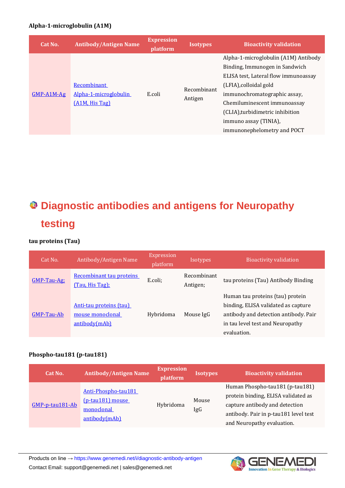#### **Alpha-1-microglobulin (A1M)**

| Cat No.      | <b>Antibody/Antigen Name</b>                           | <b>Expression</b><br><i>platform</i> | <b>Isotypes</b>        | <b>Bioactivity validation</b>                                                                                                                                                                                                                                                                        |
|--------------|--------------------------------------------------------|--------------------------------------|------------------------|------------------------------------------------------------------------------------------------------------------------------------------------------------------------------------------------------------------------------------------------------------------------------------------------------|
| $GMP-A1M-Ag$ | Recombinant<br>Alpha-1-microglobulin<br>(A1M, His Tag) | E.coli                               | Recombinant<br>Antigen | Alpha-1-microglobulin (A1M) Antibody<br>Binding, Immunogen in Sandwich<br>ELISA test, Lateral flow immunoassay<br>(LFIA), colloidal gold<br>immunochromatographic assay,<br>Chemiluminescent immunoassay<br>(CLIA), turbidimetric inhibition<br>immuno assay (TINIA),<br>immunonephelometry and POCT |

# **Diagnostic antibodies and antigens for Neuropathy testing**

#### **tau proteins (Tau)**

| Cat No.      | Antibody/Antigen Name                                        | Expression<br>platform | <i><u><b>Isotypes</b></u></i> | <b>Bioactivity validation</b>                                                                                                                                       |
|--------------|--------------------------------------------------------------|------------------------|-------------------------------|---------------------------------------------------------------------------------------------------------------------------------------------------------------------|
| $GMP-Tau-Ag$ | Recombinant tau proteins<br>(Tau, His Tag);                  | E.coli;                | Recombinant<br>Antigen;       | tau proteins (Tau) Antibody Binding                                                                                                                                 |
| GMP-Tau-Ab   | Anti-tau proteins (tau)<br>mouse monoclonal<br>antibody(mAb) | Hybridoma              | Mouse IgG                     | Human tau proteins (tau) protein<br>binding, ELISA validated as capture<br>antibody and detection antibody. Pair<br>in tau level test and Neuropathy<br>evaluation. |

#### **Phospho-tau181 (p-tau181)**

| Cat No.         | <b>Antibody/Antigen Name</b>                                           | <b>Expression</b><br>platform | <b>Isotypes</b> | <b>Bioactivity validation</b>                                                                                                                                                   |
|-----------------|------------------------------------------------------------------------|-------------------------------|-----------------|---------------------------------------------------------------------------------------------------------------------------------------------------------------------------------|
| GMP-p-tau181-Ab | Anti-Phospho-tau181<br>(p-tau181) mouse<br>monoclonal<br>antibody(mAb) | Hybridoma                     | Mouse<br>IgG    | Human Phospho-tau181 (p-tau181)<br>protein binding, ELISA validated as<br>capture antibody and detection<br>antibody. Pair in p-tau181 level test<br>and Neuropathy evaluation. |

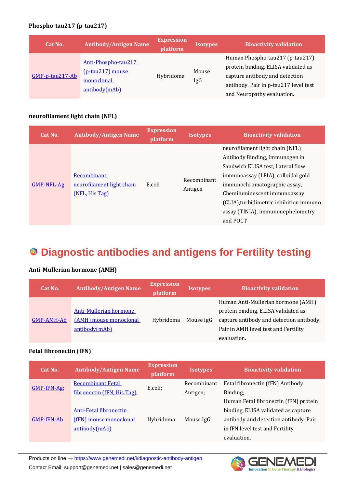#### **Phospho-tau217 (p-tau217)**

| Cat No.         | <b>Antibody/Antigen Name</b>                                           | <b>Expression</b><br>platform | <b>Isotypes</b> | <b>Bioactivity validation</b>                                                                                                                                                   |
|-----------------|------------------------------------------------------------------------|-------------------------------|-----------------|---------------------------------------------------------------------------------------------------------------------------------------------------------------------------------|
| GMP-p-tau217-Ab | Anti-Phospho-tau217<br>(p-tau217) mouse<br>monoclonal<br>antibody(mAb) | Hybridoma                     | Mouse<br>IgG    | Human Phospho-tau217 (p-tau217)<br>protein binding, ELISA validated as<br>capture antibody and detection<br>antibody. Pair in p-tau217 level test<br>and Neuropathy evaluation. |

#### **neurofilament light chain (NFL)**

| Cat No.      | <b>Antibody/Antigen Name</b>                               | <b>Expression</b><br>platform | <b>Isotypes</b>        | <b>Bioactivity validation</b>                                                                                                                                                                                                                                                                            |
|--------------|------------------------------------------------------------|-------------------------------|------------------------|----------------------------------------------------------------------------------------------------------------------------------------------------------------------------------------------------------------------------------------------------------------------------------------------------------|
| $GMP-NFL-Ag$ | Recombinant<br>neurofilament light chain<br>(NFL, His Tag) | E.coli                        | Recombinant<br>Antigen | neurofilament light chain (NFL)<br>Antibody Binding, Immunogen in<br>Sandwich ELISA test, Lateral flow<br>immunoassay (LFIA), colloidal gold<br>immunochromatographic assay,<br>Chemiluminescent immunoassay<br>(CLIA), turbidimetric inhibition immuno<br>assay (TINIA), immunonephelometry<br>and POCT |

# **Diagnostic antibodies and antigens for Fertility testing**

#### **Anti-Mullerian hormone (AMH)**

| Cat No.           | <b>Antibody/Antigen Name</b> | <b>Expression</b><br>platform | <b>Isotypes</b> | <b>Bioactivity validation</b>            |
|-------------------|------------------------------|-------------------------------|-----------------|------------------------------------------|
|                   |                              |                               |                 | Human Anti-Mullerian hormone (AMH)       |
|                   | Anti-Mullerian hormone       |                               |                 | protein binding, ELISA validated as      |
| <b>GMP-AMH-Ab</b> | (AMH) mouse monoclonal       | Hybridoma                     | Mouse IgG       | capture antibody and detection antibody. |
|                   | antibody(mAb)                |                               |                 | Pair in AMH level test and Fertility     |
|                   |                              |                               |                 | evaluation.                              |

#### **Fetal fibronectin (fFN)**

| Cat No.           | <b>Antibody/Antigen Name</b> | <b>Expression</b><br>platform | <b>Isotypes</b> | <b>Bioactivity validation</b>         |
|-------------------|------------------------------|-------------------------------|-----------------|---------------------------------------|
|                   | <b>Recombinant Fetal</b>     | E.coli;                       | Recombinant     | Fetal fibronectin (fFN) Antibody      |
| $GMP-FFN-Ag$      | fibronectin (fFN, His Tag);  |                               | Antigen;        | Binding;                              |
|                   |                              |                               |                 | Human Fetal fibronectin (fFN) protein |
|                   | Anti-Fetal fibronectin       |                               |                 | binding, ELISA validated as capture   |
| <b>GMP-fFN-Ab</b> | (fFN) mouse monoclonal       | Hybridoma                     | Mouse IgG       | antibody and detection antibody. Pair |
|                   | antibody(mAb)                |                               |                 | in fFN level test and Fertility       |
|                   |                              |                               |                 | evaluation.                           |

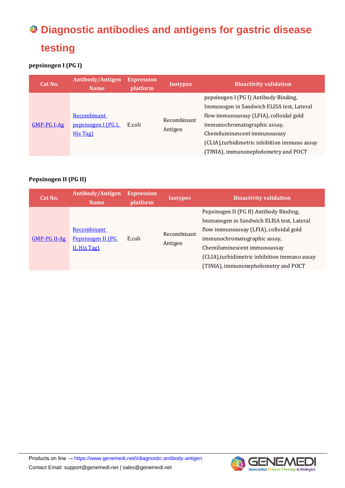# **Diagnostic antibodies and antigens for gastric disease testing**

# **pepsinogen I (PG I)**

| Cat No.      | Antibody/Antigen<br><b>Name</b>                | <b>Expression</b><br>platform | <b>Isotypes</b>        | <b>Bioactivity validation</b>                                                                                                                                                                                                                                                          |
|--------------|------------------------------------------------|-------------------------------|------------------------|----------------------------------------------------------------------------------------------------------------------------------------------------------------------------------------------------------------------------------------------------------------------------------------|
| $GMP-PGI-Ag$ | Recombinant<br>pepsinogen I (PG I,<br>His Tag) | E.coli                        | Recombinant<br>Antigen | pepsinogen I (PG I) Antibody Binding,<br>Immunogen in Sandwich ELISA test, Lateral<br>flow immunoassay (LFIA), colloidal gold<br>immunochromatographic assay,<br>Chemiluminescent immunoassay<br>(CLIA), turbidimetric inhibition immuno assay<br>(TINIA), immunonephelometry and POCT |

# **Pepsinogen II (PG II)**

| Cat No.        | <b>Antibody/Antigen</b><br><b>Name</b>           | <b>Expression</b><br>platform | <b>Isotypes</b>        | <b>Bioactivity validation</b>                                                                                                                                                                                                                                                            |
|----------------|--------------------------------------------------|-------------------------------|------------------------|------------------------------------------------------------------------------------------------------------------------------------------------------------------------------------------------------------------------------------------------------------------------------------------|
| $GMP-PG II-Ag$ | Recombinant<br>Pepsinogen II (PG<br>II, His Tag) | E.coli                        | Recombinant<br>Antigen | Pepsinogen II (PG II) Antibody Binding,<br>Immunogen in Sandwich ELISA test, Lateral<br>flow immunoassay (LFIA), colloidal gold<br>immunochromatographic assay,<br>Chemiluminescent immunoassay<br>(CLIA), turbidimetric inhibition immuno assay<br>(TINIA), immunonephelometry and POCT |

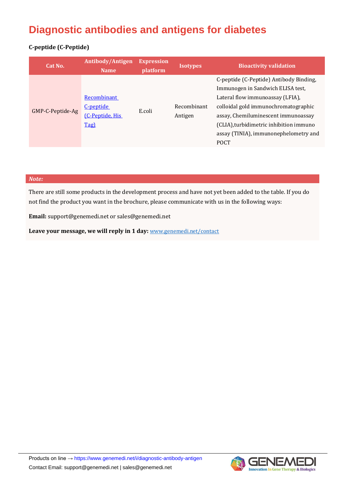# **Diagnostic antibodies and antigens for diabetes**

### **C-peptide (C-Peptide)**

| Cat No.          | Antibody/Antigen<br><b>Name</b>                     | <b>Expression</b><br>platform | <b>Isotypes</b>        | <b>Bioactivity validation</b>                                                                                                                                                                                                                                                                      |
|------------------|-----------------------------------------------------|-------------------------------|------------------------|----------------------------------------------------------------------------------------------------------------------------------------------------------------------------------------------------------------------------------------------------------------------------------------------------|
| GMP-C-Peptide-Ag | Recombinant<br>C-peptide<br>[C-Peptide, His<br>Tag) | E.coli                        | Recombinant<br>Antigen | C-peptide (C-Peptide) Antibody Binding,<br>Immunogen in Sandwich ELISA test,<br>Lateral flow immunoassay (LFIA),<br>colloidal gold immunochromatographic<br>assay, Chemiluminescent immunoassay<br>(CLIA), turbidimetric inhibition immuno<br>assay (TINIA), immunonephelometry and<br><b>POCT</b> |

#### *Note:*

There are still some products in the development process and have not yet been added to the table. If you do not find the product you want in the brochure, please communicate with us in the following ways:

**Email:** support@genemedi.net or sales@genemedi.net

Leave your message, we will reply in 1 day: **<www.genemedi.net/contact>**